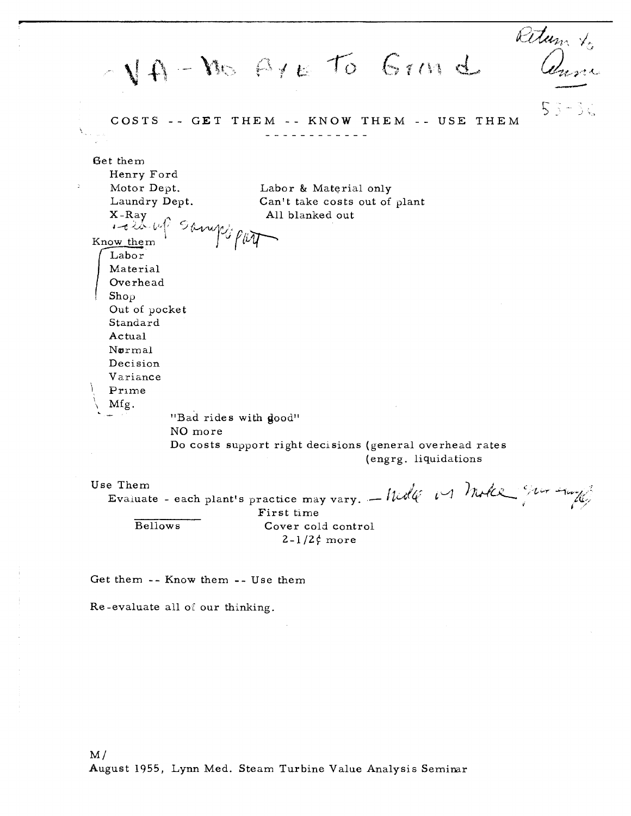Petum to  $\overline{\mathcal{Q}}$  $N_A - N_0$   $A + E$  to Grm d *5-* - .. \* COSTS -- GET THEM -- KNOW THEM -- USE THEM Get them Henry Ford Ğ. Motor Dept. Labor & Material only Laundry Dept. Can't take costs out of plant X-Ray All blanked out **4-f <\*2** 1+  $K$ now them  $\int$ <sup>74</sup> $\int$ <sup>7</sup> $\int$ Labor Material Overhead<br>Shop<br>Out of pocket Standard Actual **Normal** Decision Variance Prime Mfg. "Bad rides with dood" NO more Do costs support right decisions (general overhead rates (engrg. liquidations Use Them **Evaluate** - each plant's practice may vary.  $-\text{hold}$   $\omega$   $\theta$  with  $\omega$ First time Bellows Cover cold control

 $2-1/2$  more

Get them -- Know them -- Use them

Re-evaluate all of our thinking.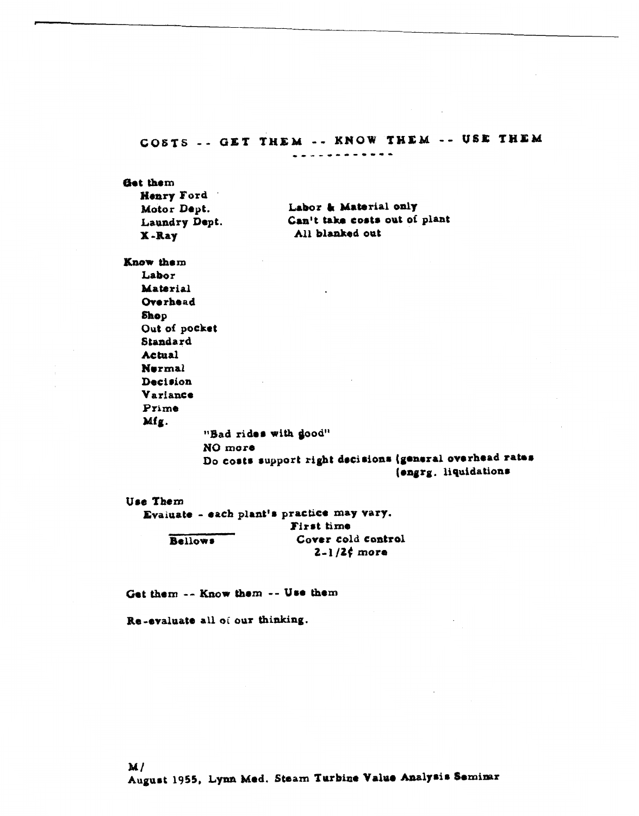## COSTS -- GET THEM -- KNOW THEM -- USE THEM \*\*\*\*\*\*\*\*\*\*\*\*

Get them

| <b>Henry Ford</b> |                               |
|-------------------|-------------------------------|
| Motor Dept.       | Labor & Material only         |
| Laundry Dept.     | Can't take costs out of plant |
| X-Ray             | All blanked out               |

Know them

Labor **Material** Overhead Shop Out of pocket Standard Actual **Nurmal** Decision Variance Prime Mfg.

"Bad rides with good" NO more

Do costs support right decisions (general overhead rates (engrg. liquidations

 $2 - 1/2f$  more

Use Them Evaluate - each plant's practice may vary. First time Cover cold control **Bellows** 

Get them -- Know them -- Use them

Re-evaluate all of our thinking.